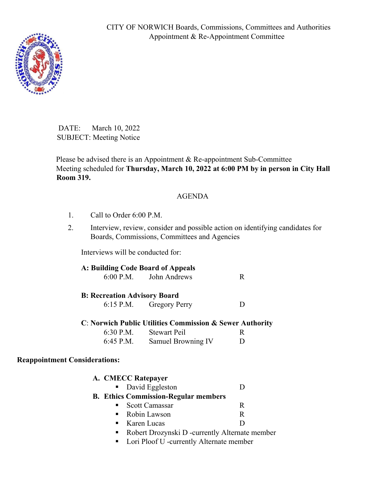

DATE: March 10, 2022 SUBJECT: Meeting Notice

Please be advised there is an Appointment & Re-appointment Sub-Committee Meeting scheduled for **Thursday, March 10, 2022 at 6:00 PM by in person in City Hall Room 319.**

## AGENDA

- 1. Call to Order 6:00 P.M.
- 2. Interview, review, consider and possible action on identifying candidates for Boards, Commissions, Committees and Agencies

Interviews will be conducted for:

|                                      |                    | A: Building Code Board of Appeals                        |   |
|--------------------------------------|--------------------|----------------------------------------------------------|---|
|                                      |                    | 6:00 P.M. John Andrews                                   | R |
|                                      |                    | <b>B: Recreation Advisory Board</b>                      |   |
|                                      |                    | 6:15 P.M. Gregory Perry                                  | Ð |
|                                      |                    | C: Norwich Public Utilities Commission & Sewer Authority |   |
|                                      |                    | 6:30 P.M. Stewart Peil                                   | R |
|                                      |                    | 6:45 P.M. Samuel Browning IV                             | D |
| <b>Reappointment Considerations:</b> |                    |                                                          |   |
|                                      | A. CMECC Ratepayer |                                                          |   |
|                                      |                    | David Eggleston                                          | D |
|                                      |                    | <b>B.</b> Ethics Commission-Regular members              |   |
|                                      |                    | <b>Scott Camassar</b>                                    | R |
|                                      |                    | Robin Lawson                                             | R |
|                                      |                    | Karen Lucas                                              | D |

- Robert Drozynski D -currently Alternate member
- **Lori Ploof U** -currently Alternate member